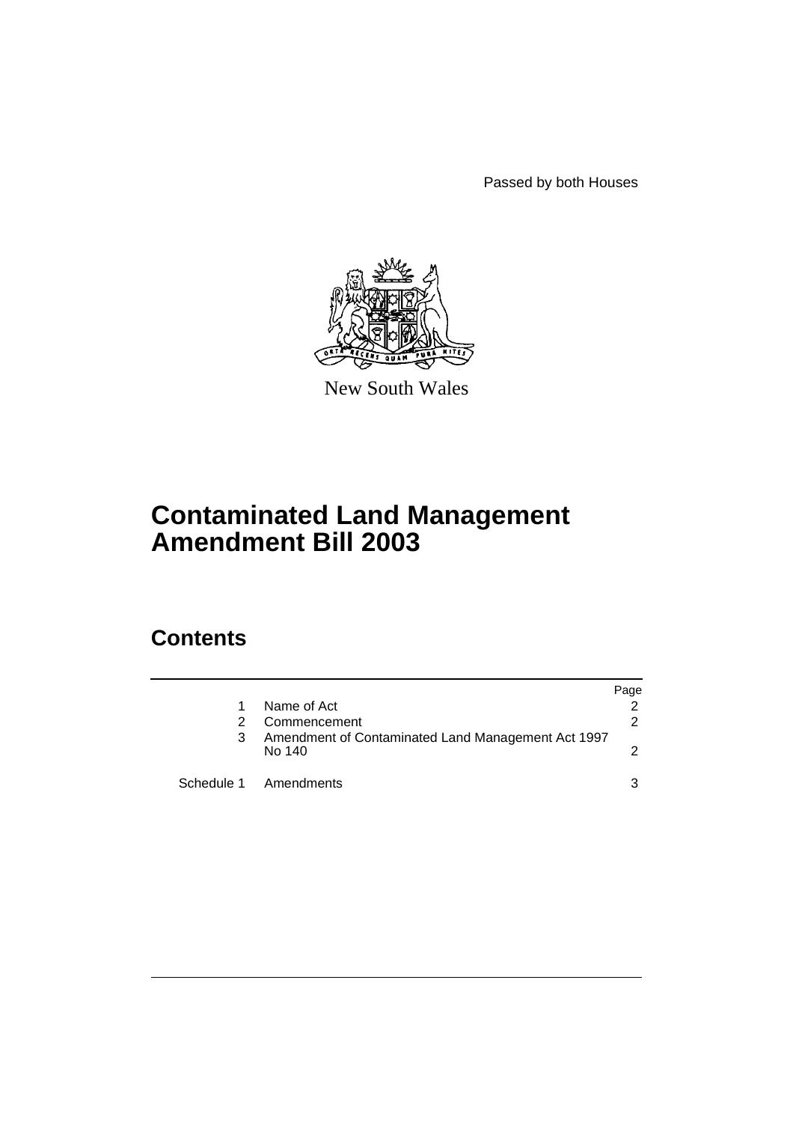Passed by both Houses



New South Wales

# **Contaminated Land Management Amendment Bill 2003**

# **Contents**

|   |                                                              | Page |
|---|--------------------------------------------------------------|------|
|   | Name of Act                                                  |      |
| 2 | Commencement                                                 | 2    |
| 3 | Amendment of Contaminated Land Management Act 1997<br>No 140 | 2    |
|   | Schedule 1 Amendments                                        | 3    |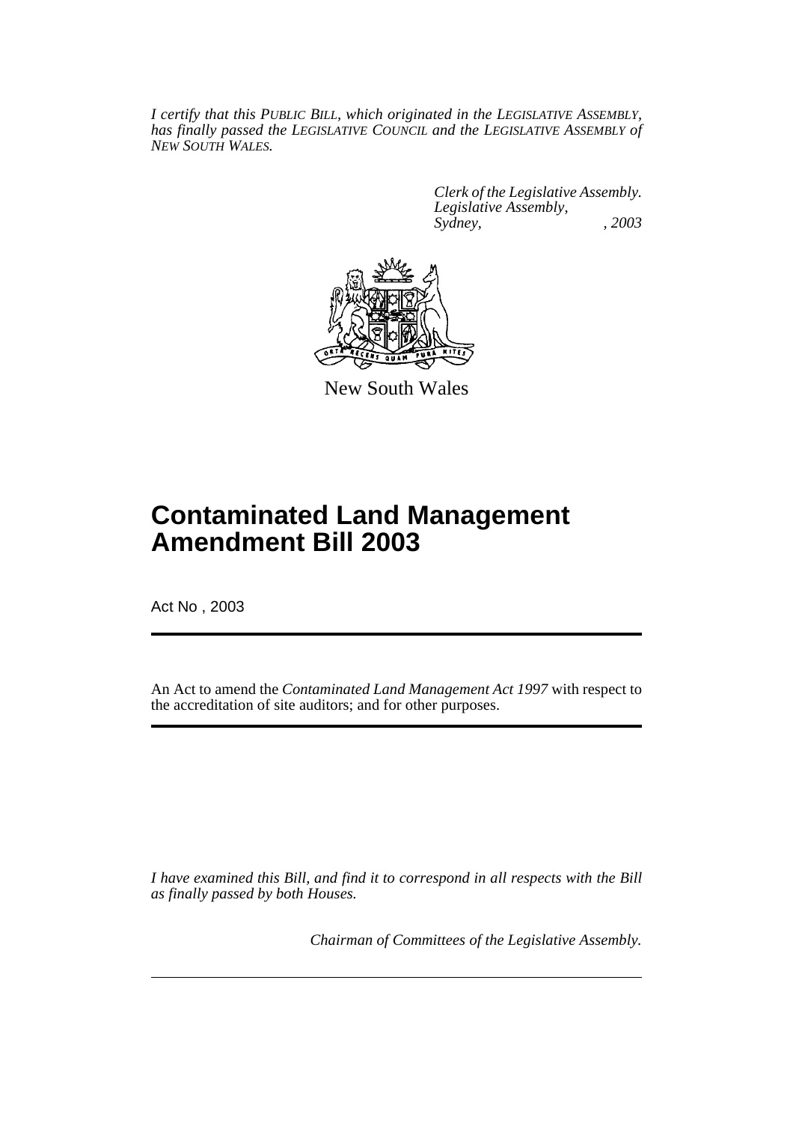*I certify that this PUBLIC BILL, which originated in the LEGISLATIVE ASSEMBLY, has finally passed the LEGISLATIVE COUNCIL and the LEGISLATIVE ASSEMBLY of NEW SOUTH WALES.*

> *Clerk of the Legislative Assembly. Legislative Assembly, Sydney, , 2003*



New South Wales

# **Contaminated Land Management Amendment Bill 2003**

Act No , 2003

An Act to amend the *Contaminated Land Management Act 1997* with respect to the accreditation of site auditors; and for other purposes.

*I have examined this Bill, and find it to correspond in all respects with the Bill as finally passed by both Houses.*

*Chairman of Committees of the Legislative Assembly.*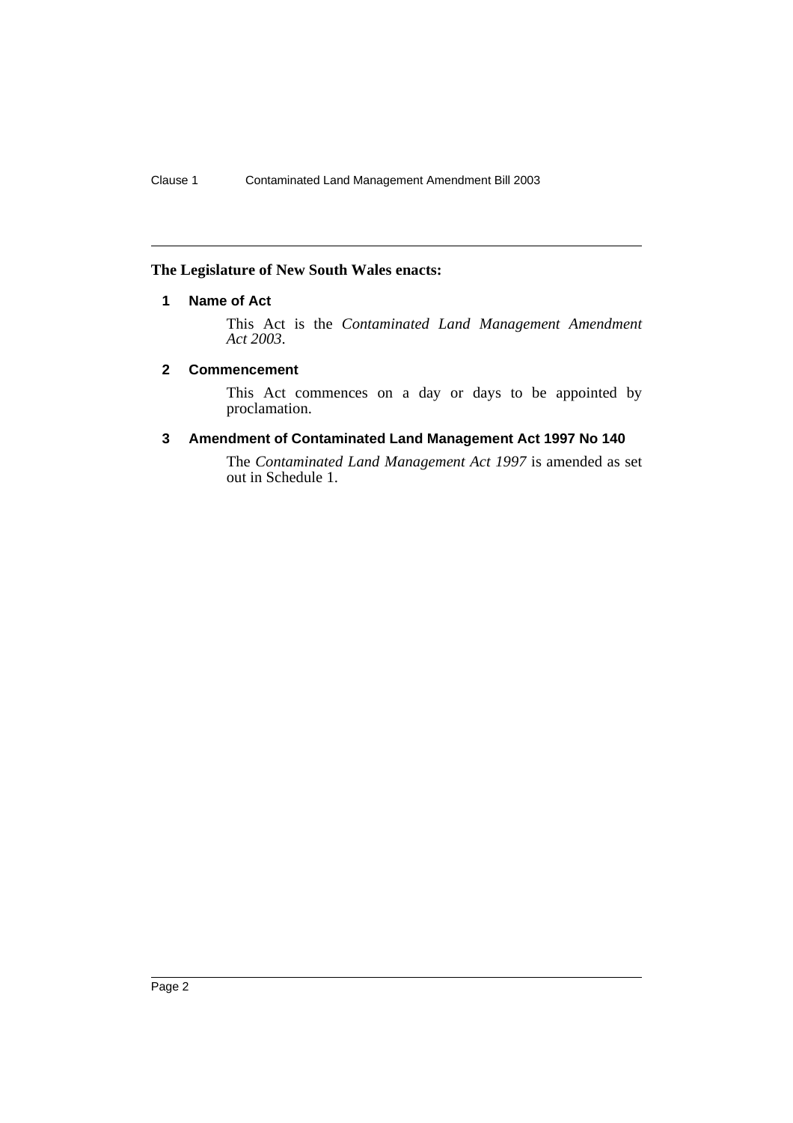## **The Legislature of New South Wales enacts:**

# **1 Name of Act**

This Act is the *Contaminated Land Management Amendment Act 2003*.

## **2 Commencement**

This Act commences on a day or days to be appointed by proclamation.

## **3 Amendment of Contaminated Land Management Act 1997 No 140**

The *Contaminated Land Management Act 1997* is amended as set out in Schedule 1.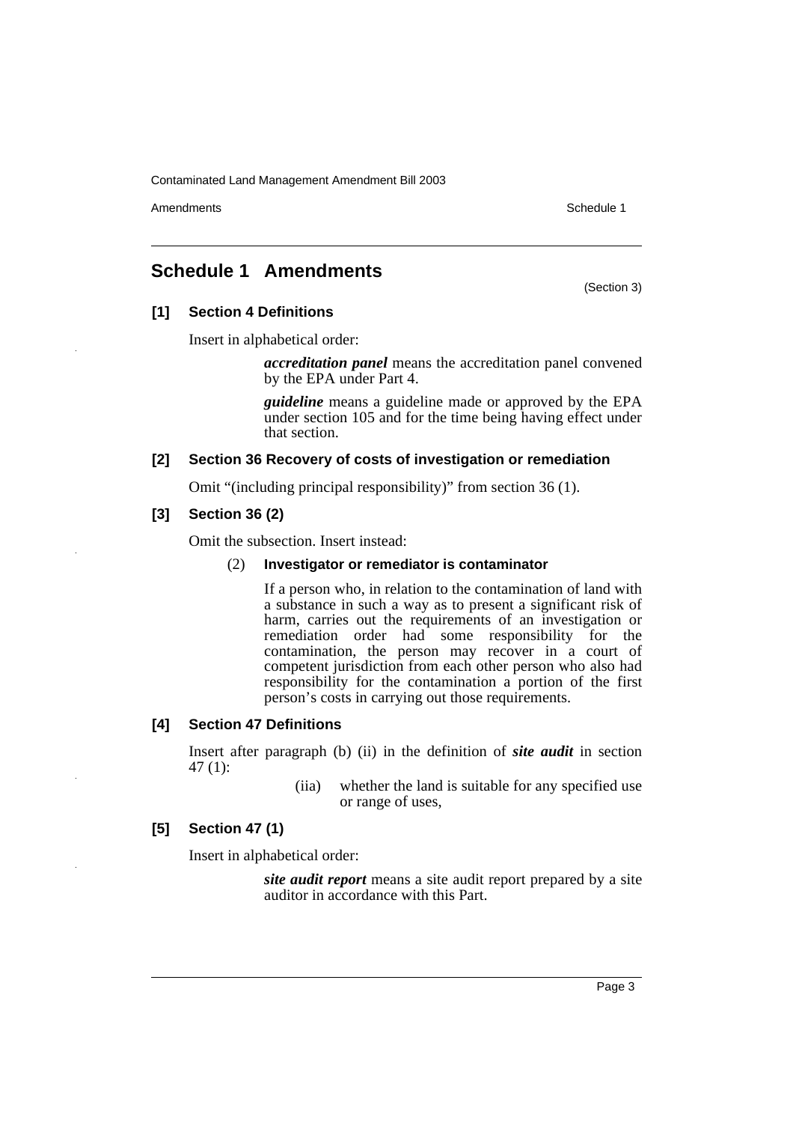Amendments **Amendments** Schedule 1

# **Schedule 1 Amendments**

(Section 3)

# **[1] Section 4 Definitions**

Insert in alphabetical order:

*accreditation panel* means the accreditation panel convened by the EPA under Part 4.

*guideline* means a guideline made or approved by the EPA under section 105 and for the time being having effect under that section.

## **[2] Section 36 Recovery of costs of investigation or remediation**

Omit "(including principal responsibility)" from section 36 (1).

# **[3] Section 36 (2)**

Omit the subsection. Insert instead:

### (2) **Investigator or remediator is contaminator**

If a person who, in relation to the contamination of land with a substance in such a way as to present a significant risk of harm, carries out the requirements of an investigation or remediation order had some responsibility for the contamination, the person may recover in a court of competent jurisdiction from each other person who also had responsibility for the contamination a portion of the first person's costs in carrying out those requirements.

## **[4] Section 47 Definitions**

Insert after paragraph (b) (ii) in the definition of *site audit* in section 47 (1):

> (iia) whether the land is suitable for any specified use or range of uses,

## **[5] Section 47 (1)**

Insert in alphabetical order:

*site audit report* means a site audit report prepared by a site auditor in accordance with this Part.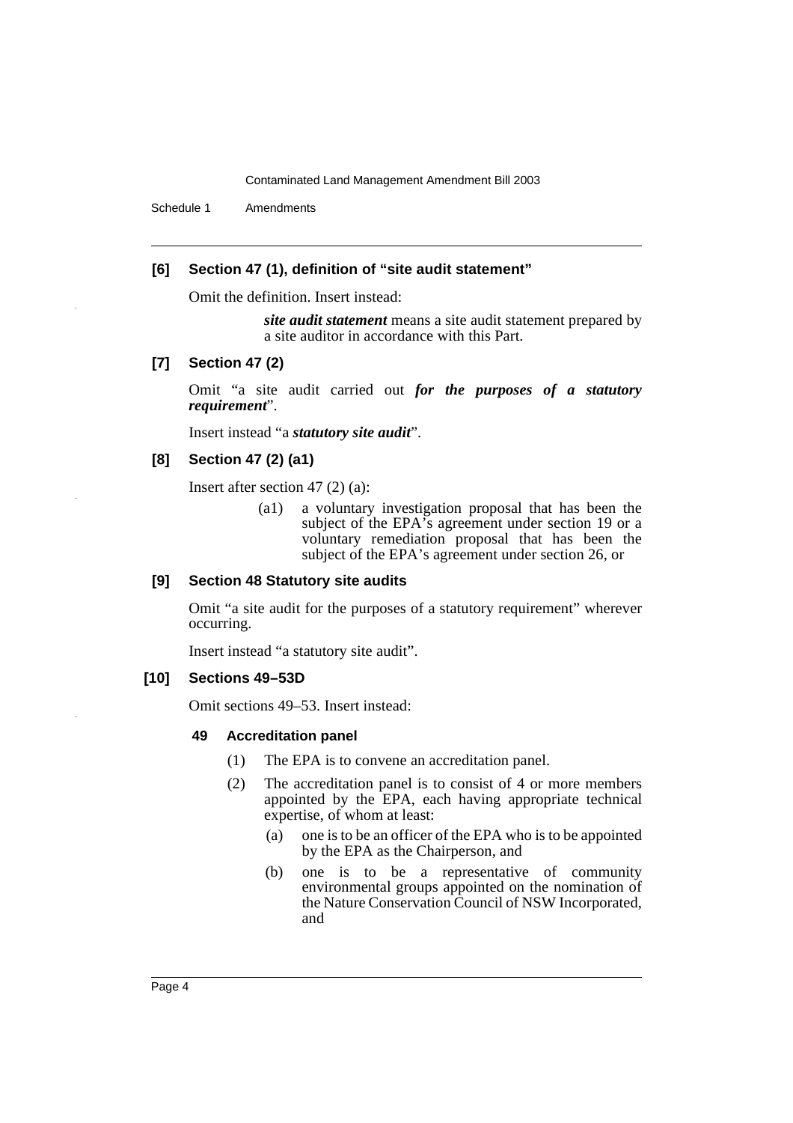Schedule 1 Amendments

## **[6] Section 47 (1), definition of "site audit statement"**

Omit the definition. Insert instead:

*site audit statement* means a site audit statement prepared by a site auditor in accordance with this Part.

#### **[7] Section 47 (2)**

Omit "a site audit carried out *for the purposes of a statutory requirement*".

Insert instead "a *statutory site audit*".

## **[8] Section 47 (2) (a1)**

Insert after section 47 (2) (a):

(a1) a voluntary investigation proposal that has been the subject of the EPA's agreement under section 19 or a voluntary remediation proposal that has been the subject of the EPA's agreement under section 26, or

#### **[9] Section 48 Statutory site audits**

Omit "a site audit for the purposes of a statutory requirement" wherever occurring.

Insert instead "a statutory site audit".

#### **[10] Sections 49–53D**

Omit sections 49–53. Insert instead:

#### **49 Accreditation panel**

- (1) The EPA is to convene an accreditation panel.
- (2) The accreditation panel is to consist of 4 or more members appointed by the EPA, each having appropriate technical expertise, of whom at least:
	- (a) one is to be an officer of the EPA who is to be appointed by the EPA as the Chairperson, and
	- (b) one is to be a representative of community environmental groups appointed on the nomination of the Nature Conservation Council of NSW Incorporated, and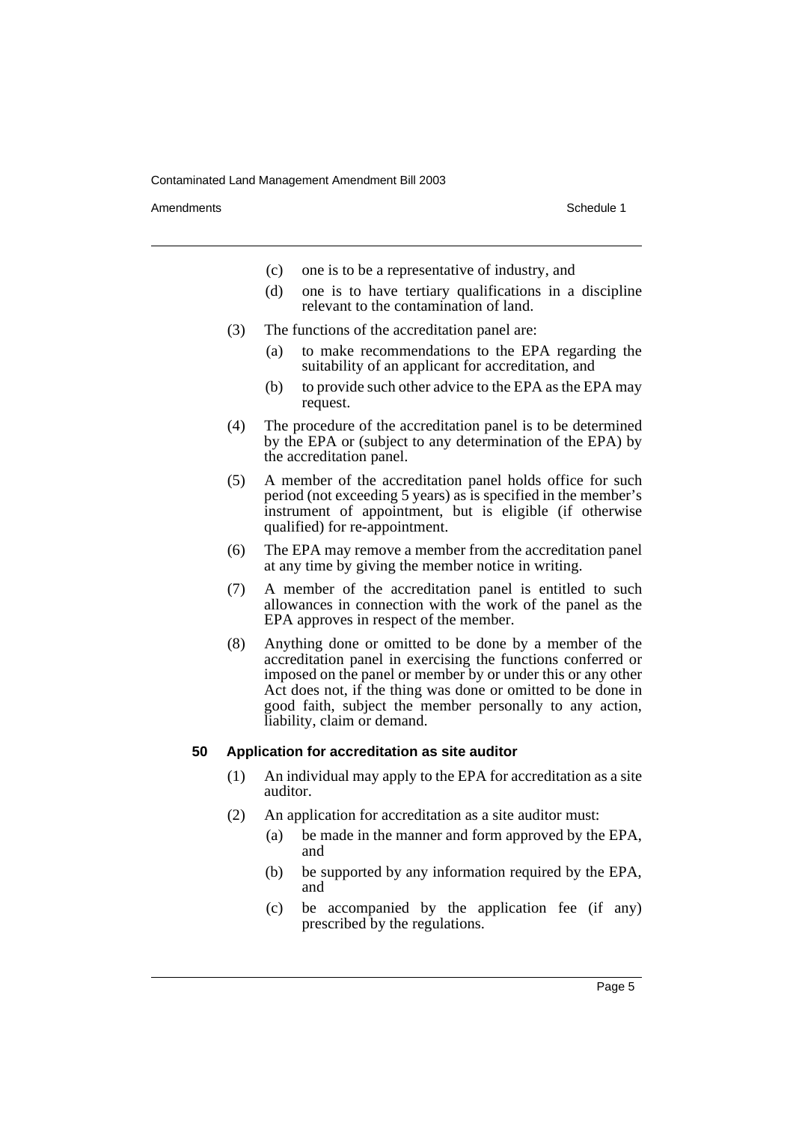Amendments **Amendments** Schedule 1

- (c) one is to be a representative of industry, and
- (d) one is to have tertiary qualifications in a discipline relevant to the contamination of land.
- (3) The functions of the accreditation panel are:
	- (a) to make recommendations to the EPA regarding the suitability of an applicant for accreditation, and
	- (b) to provide such other advice to the EPA as the EPA may request.
- (4) The procedure of the accreditation panel is to be determined by the EPA or (subject to any determination of the EPA) by the accreditation panel.
- (5) A member of the accreditation panel holds office for such period (not exceeding 5 years) as is specified in the member's instrument of appointment, but is eligible (if otherwise qualified) for re-appointment.
- (6) The EPA may remove a member from the accreditation panel at any time by giving the member notice in writing.
- (7) A member of the accreditation panel is entitled to such allowances in connection with the work of the panel as the EPA approves in respect of the member.
- (8) Anything done or omitted to be done by a member of the accreditation panel in exercising the functions conferred or imposed on the panel or member by or under this or any other Act does not, if the thing was done or omitted to be done in good faith, subject the member personally to any action, liability, claim or demand.

#### **50 Application for accreditation as site auditor**

- (1) An individual may apply to the EPA for accreditation as a site auditor.
- (2) An application for accreditation as a site auditor must:
	- (a) be made in the manner and form approved by the EPA, and
	- (b) be supported by any information required by the EPA, and
	- (c) be accompanied by the application fee (if any) prescribed by the regulations.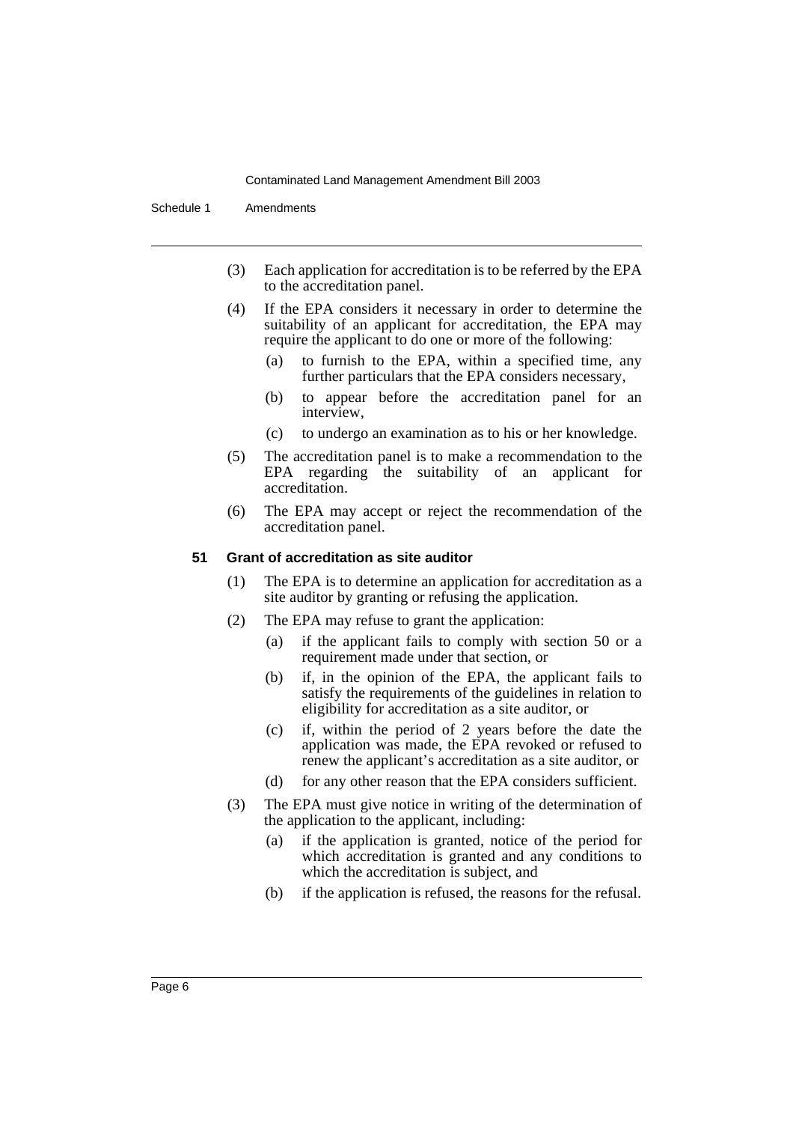Schedule 1 Amendments

- (3) Each application for accreditation is to be referred by the EPA to the accreditation panel.
- (4) If the EPA considers it necessary in order to determine the suitability of an applicant for accreditation, the EPA may require the applicant to do one or more of the following:
	- (a) to furnish to the EPA, within a specified time, any further particulars that the EPA considers necessary,
	- (b) to appear before the accreditation panel for an interview,
	- (c) to undergo an examination as to his or her knowledge.
- (5) The accreditation panel is to make a recommendation to the EPA regarding the suitability of an applicant for accreditation.
- (6) The EPA may accept or reject the recommendation of the accreditation panel.

## **51 Grant of accreditation as site auditor**

- (1) The EPA is to determine an application for accreditation as a site auditor by granting or refusing the application.
- (2) The EPA may refuse to grant the application:
	- (a) if the applicant fails to comply with section 50 or a requirement made under that section, or
	- (b) if, in the opinion of the EPA, the applicant fails to satisfy the requirements of the guidelines in relation to eligibility for accreditation as a site auditor, or
	- (c) if, within the period of 2 years before the date the application was made, the EPA revoked or refused to renew the applicant's accreditation as a site auditor, or
	- (d) for any other reason that the EPA considers sufficient.
- (3) The EPA must give notice in writing of the determination of the application to the applicant, including:
	- (a) if the application is granted, notice of the period for which accreditation is granted and any conditions to which the accreditation is subject, and
	- (b) if the application is refused, the reasons for the refusal.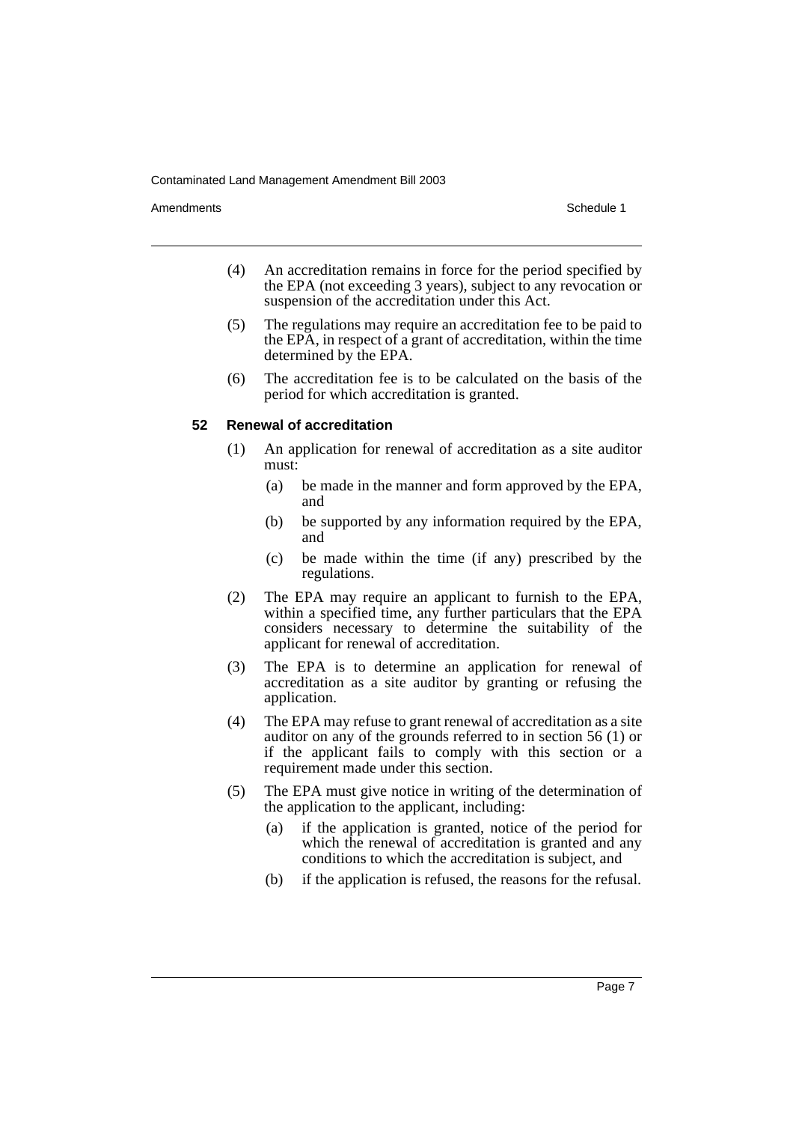Amendments **Amendments** Schedule 1

- (4) An accreditation remains in force for the period specified by the EPA (not exceeding 3 years), subject to any revocation or suspension of the accreditation under this Act.
- (5) The regulations may require an accreditation fee to be paid to the EPA, in respect of a grant of accreditation, within the time determined by the EPA.
- (6) The accreditation fee is to be calculated on the basis of the period for which accreditation is granted.

#### **52 Renewal of accreditation**

- (1) An application for renewal of accreditation as a site auditor must:
	- (a) be made in the manner and form approved by the EPA, and
	- (b) be supported by any information required by the EPA, and
	- (c) be made within the time (if any) prescribed by the regulations.
- (2) The EPA may require an applicant to furnish to the EPA, within a specified time, any further particulars that the EPA considers necessary to determine the suitability of the applicant for renewal of accreditation.
- (3) The EPA is to determine an application for renewal of accreditation as a site auditor by granting or refusing the application.
- (4) The EPA may refuse to grant renewal of accreditation as a site auditor on any of the grounds referred to in section 56 (1) or if the applicant fails to comply with this section or a requirement made under this section.
- (5) The EPA must give notice in writing of the determination of the application to the applicant, including:
	- (a) if the application is granted, notice of the period for which the renewal of accreditation is granted and any conditions to which the accreditation is subject, and
	- (b) if the application is refused, the reasons for the refusal.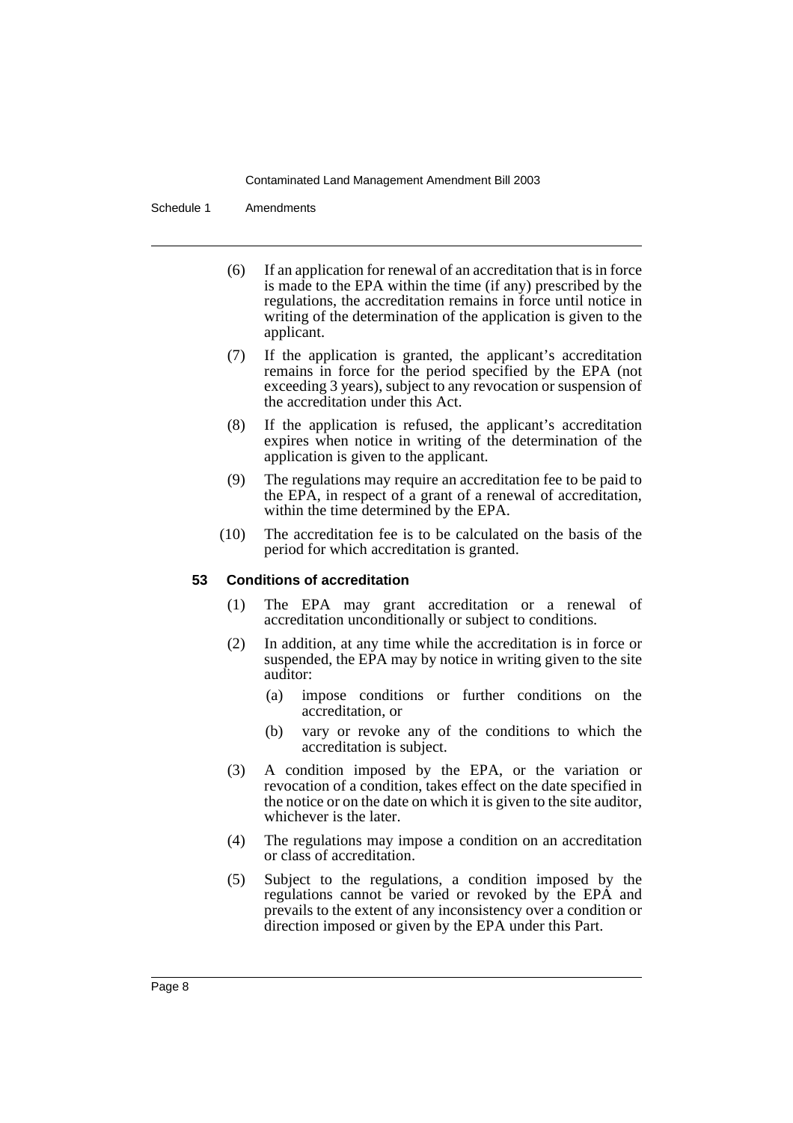Schedule 1 Amendments

- (6) If an application for renewal of an accreditation that is in force is made to the EPA within the time (if any) prescribed by the regulations, the accreditation remains in force until notice in writing of the determination of the application is given to the applicant.
- (7) If the application is granted, the applicant's accreditation remains in force for the period specified by the EPA (not exceeding 3 years), subject to any revocation or suspension of the accreditation under this Act.
- (8) If the application is refused, the applicant's accreditation expires when notice in writing of the determination of the application is given to the applicant.
- (9) The regulations may require an accreditation fee to be paid to the EPA, in respect of a grant of a renewal of accreditation, within the time determined by the EPA.
- (10) The accreditation fee is to be calculated on the basis of the period for which accreditation is granted.

## **53 Conditions of accreditation**

- (1) The EPA may grant accreditation or a renewal of accreditation unconditionally or subject to conditions.
- (2) In addition, at any time while the accreditation is in force or suspended, the EPA may by notice in writing given to the site auditor:
	- (a) impose conditions or further conditions on the accreditation, or
	- (b) vary or revoke any of the conditions to which the accreditation is subject.
- (3) A condition imposed by the EPA, or the variation or revocation of a condition, takes effect on the date specified in the notice or on the date on which it is given to the site auditor, whichever is the later.
- (4) The regulations may impose a condition on an accreditation or class of accreditation.
- (5) Subject to the regulations, a condition imposed by the regulations cannot be varied or revoked by the EPA and prevails to the extent of any inconsistency over a condition or direction imposed or given by the EPA under this Part.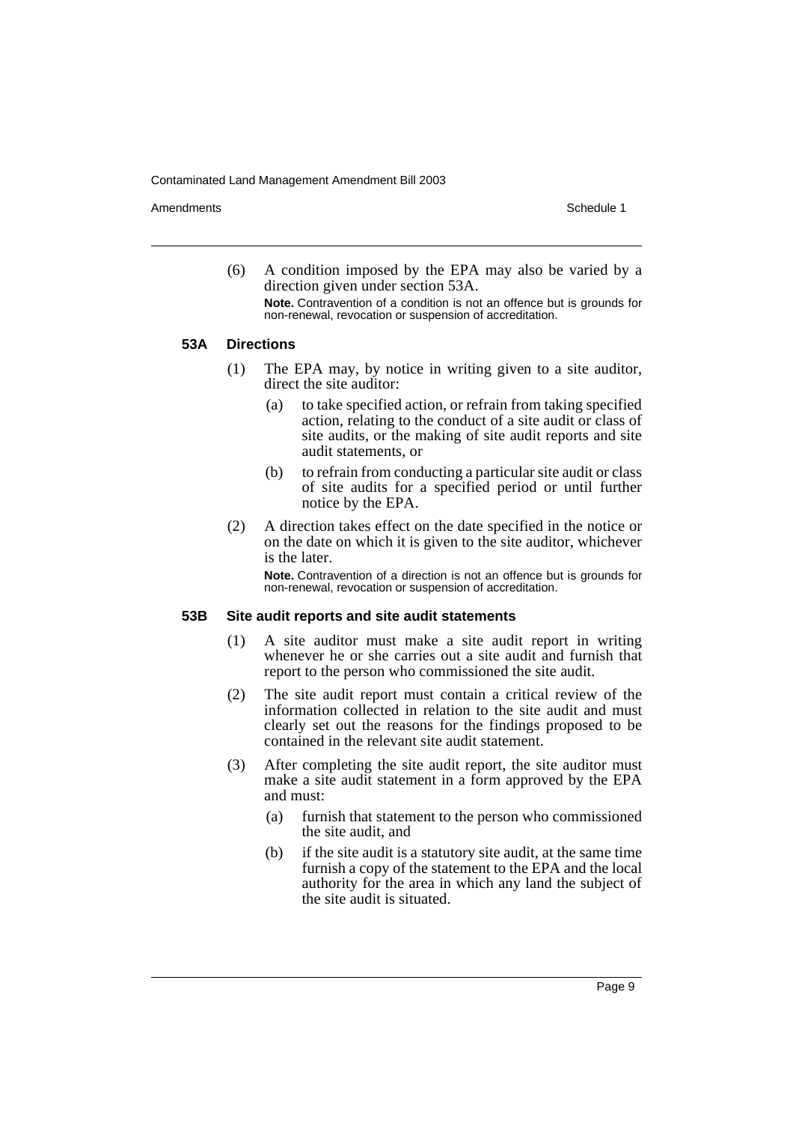Amendments **Amendments** Schedule 1

(6) A condition imposed by the EPA may also be varied by a direction given under section 53A. **Note.** Contravention of a condition is not an offence but is grounds for non-renewal, revocation or suspension of accreditation.

#### **53A Directions**

- (1) The EPA may, by notice in writing given to a site auditor, direct the site auditor:
	- (a) to take specified action, or refrain from taking specified action, relating to the conduct of a site audit or class of site audits, or the making of site audit reports and site audit statements, or
	- (b) to refrain from conducting a particular site audit or class of site audits for a specified period or until further notice by the EPA.
- (2) A direction takes effect on the date specified in the notice or on the date on which it is given to the site auditor, whichever is the later.

**Note.** Contravention of a direction is not an offence but is grounds for non-renewal, revocation or suspension of accreditation.

#### **53B Site audit reports and site audit statements**

- (1) A site auditor must make a site audit report in writing whenever he or she carries out a site audit and furnish that report to the person who commissioned the site audit.
- (2) The site audit report must contain a critical review of the information collected in relation to the site audit and must clearly set out the reasons for the findings proposed to be contained in the relevant site audit statement.
- (3) After completing the site audit report, the site auditor must make a site audit statement in a form approved by the EPA and must:
	- (a) furnish that statement to the person who commissioned the site audit, and
	- (b) if the site audit is a statutory site audit, at the same time furnish a copy of the statement to the EPA and the local authority for the area in which any land the subject of the site audit is situated.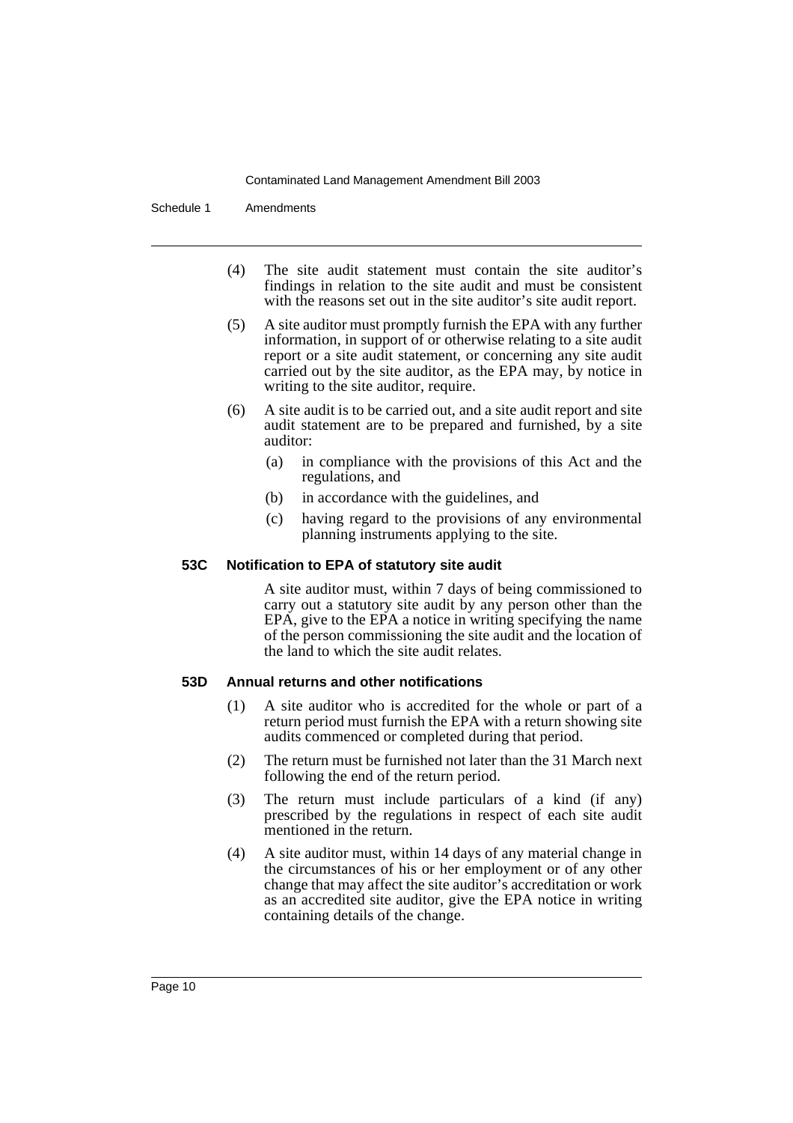Schedule 1 Amendments

- (4) The site audit statement must contain the site auditor's findings in relation to the site audit and must be consistent with the reasons set out in the site auditor's site audit report.
- (5) A site auditor must promptly furnish the EPA with any further information, in support of or otherwise relating to a site audit report or a site audit statement, or concerning any site audit carried out by the site auditor, as the EPA may, by notice in writing to the site auditor, require.
- (6) A site audit is to be carried out, and a site audit report and site audit statement are to be prepared and furnished, by a site auditor:
	- (a) in compliance with the provisions of this Act and the regulations, and
	- (b) in accordance with the guidelines, and
	- (c) having regard to the provisions of any environmental planning instruments applying to the site.

## **53C Notification to EPA of statutory site audit**

A site auditor must, within 7 days of being commissioned to carry out a statutory site audit by any person other than the EPA, give to the EPA a notice in writing specifying the name of the person commissioning the site audit and the location of the land to which the site audit relates.

## **53D Annual returns and other notifications**

- (1) A site auditor who is accredited for the whole or part of a return period must furnish the EPA with a return showing site audits commenced or completed during that period.
- (2) The return must be furnished not later than the 31 March next following the end of the return period.
- (3) The return must include particulars of a kind (if any) prescribed by the regulations in respect of each site audit mentioned in the return.
- (4) A site auditor must, within 14 days of any material change in the circumstances of his or her employment or of any other change that may affect the site auditor's accreditation or work as an accredited site auditor, give the EPA notice in writing containing details of the change.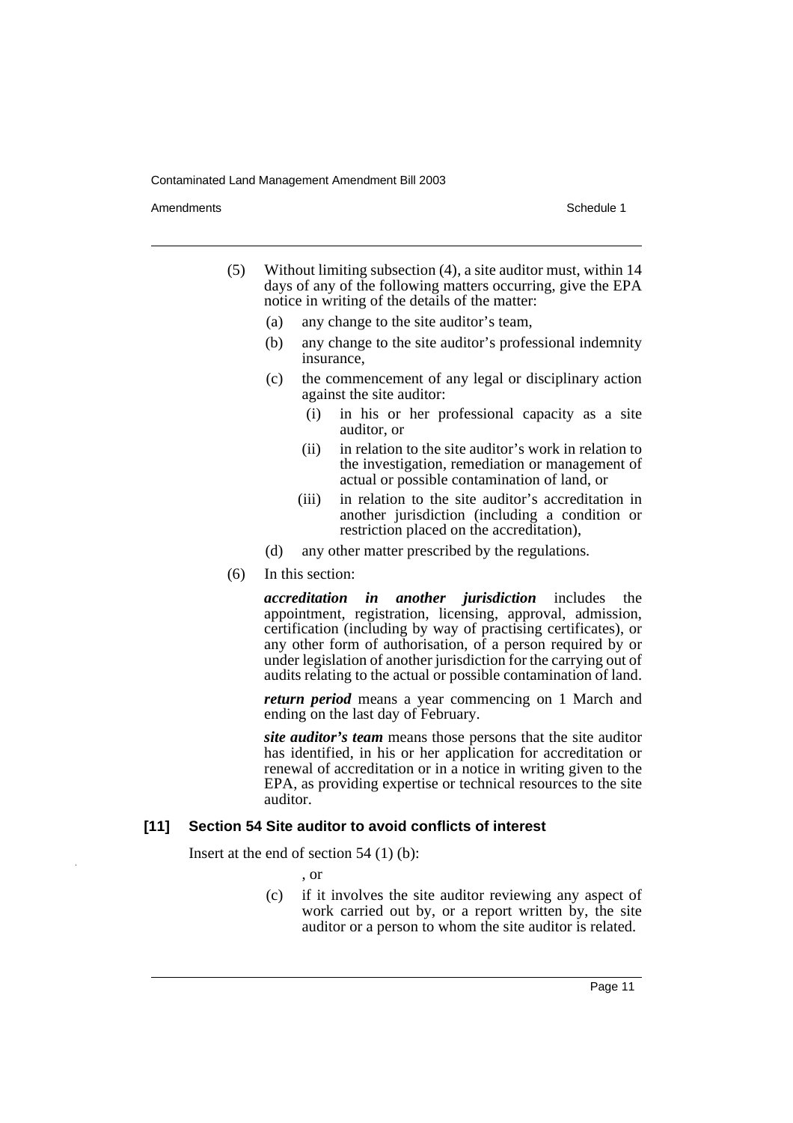Amendments **Amendments** Schedule 1

- (5) Without limiting subsection (4), a site auditor must, within 14 days of any of the following matters occurring, give the EPA notice in writing of the details of the matter:
	- (a) any change to the site auditor's team,
	- (b) any change to the site auditor's professional indemnity insurance,
	- (c) the commencement of any legal or disciplinary action against the site auditor:
		- (i) in his or her professional capacity as a site auditor, or
		- (ii) in relation to the site auditor's work in relation to the investigation, remediation or management of actual or possible contamination of land, or
		- (iii) in relation to the site auditor's accreditation in another jurisdiction (including a condition or restriction placed on the accreditation),
	- (d) any other matter prescribed by the regulations.
- (6) In this section:

*accreditation in another jurisdiction* includes the appointment, registration, licensing, approval, admission, certification (including by way of practising certificates), or any other form of authorisation, of a person required by or under legislation of another jurisdiction for the carrying out of audits relating to the actual or possible contamination of land.

*return period* means a year commencing on 1 March and ending on the last day of February.

*site auditor's team* means those persons that the site auditor has identified, in his or her application for accreditation or renewal of accreditation or in a notice in writing given to the EPA, as providing expertise or technical resources to the site auditor.

#### **[11] Section 54 Site auditor to avoid conflicts of interest**

Insert at the end of section  $54$  (1) (b):

- , or
- (c) if it involves the site auditor reviewing any aspect of work carried out by, or a report written by, the site auditor or a person to whom the site auditor is related.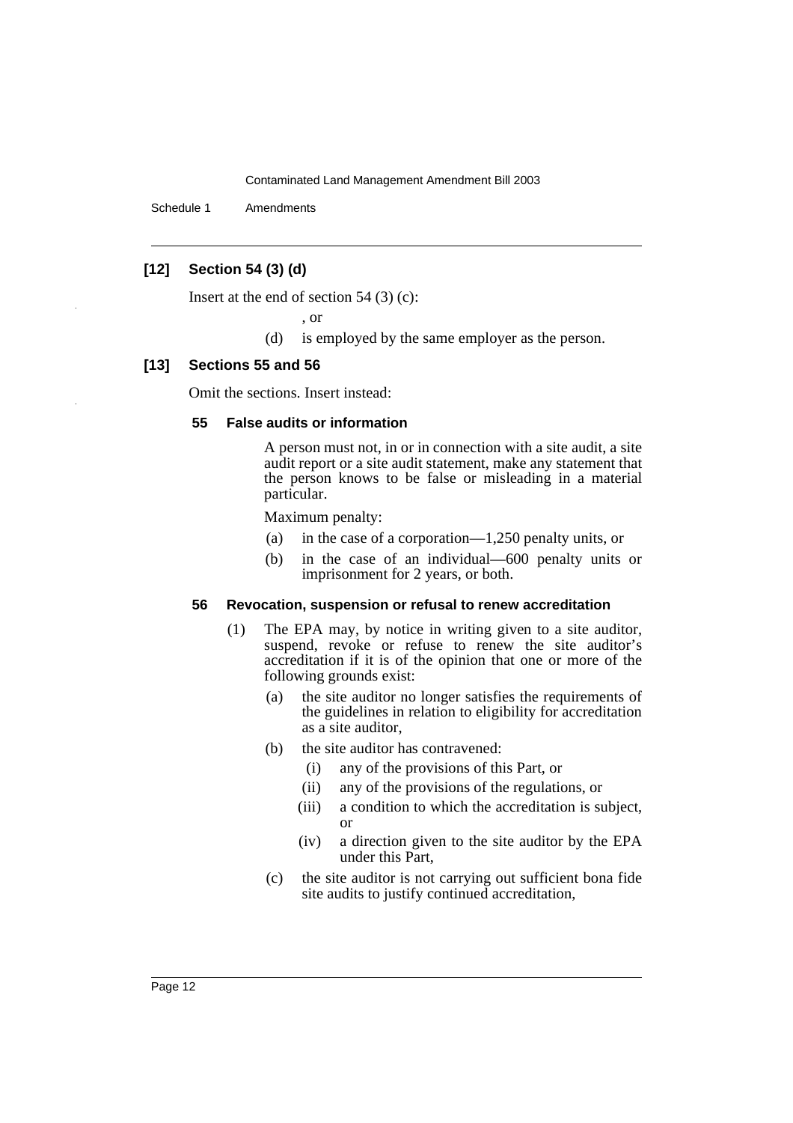Schedule 1 Amendments

# **[12] Section 54 (3) (d)**

Insert at the end of section  $54$  (3) (c):

, or

(d) is employed by the same employer as the person.

#### **[13] Sections 55 and 56**

Omit the sections. Insert instead:

#### **55 False audits or information**

A person must not, in or in connection with a site audit, a site audit report or a site audit statement, make any statement that the person knows to be false or misleading in a material particular.

Maximum penalty:

- (a) in the case of a corporation—1,250 penalty units, or
- (b) in the case of an individual—600 penalty units or imprisonment for 2 years, or both.

#### **56 Revocation, suspension or refusal to renew accreditation**

- (1) The EPA may, by notice in writing given to a site auditor, suspend, revoke or refuse to renew the site auditor's accreditation if it is of the opinion that one or more of the following grounds exist:
	- (a) the site auditor no longer satisfies the requirements of the guidelines in relation to eligibility for accreditation as a site auditor,
	- (b) the site auditor has contravened:
		- (i) any of the provisions of this Part, or
		- (ii) any of the provisions of the regulations, or
		- (iii) a condition to which the accreditation is subject, or
		- (iv) a direction given to the site auditor by the EPA under this Part,
	- (c) the site auditor is not carrying out sufficient bona fide site audits to justify continued accreditation,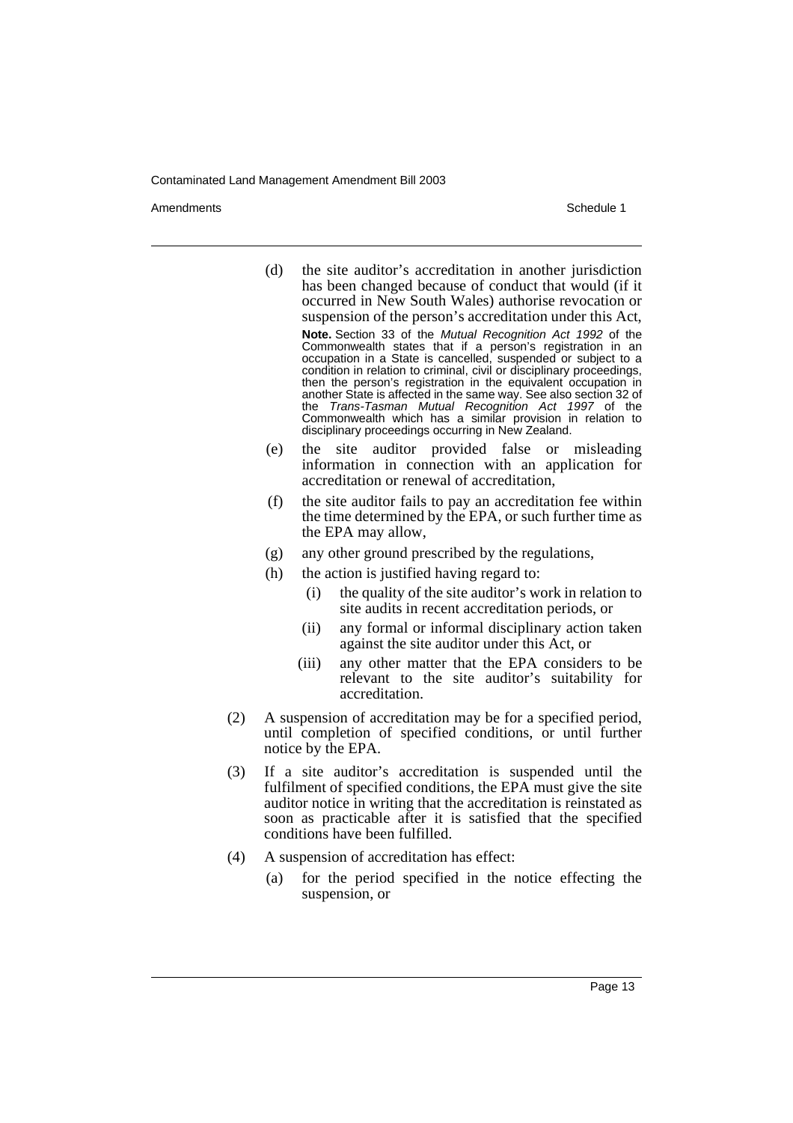Amendments **Amendments** Schedule 1

- (d) the site auditor's accreditation in another jurisdiction has been changed because of conduct that would (if it occurred in New South Wales) authorise revocation or suspension of the person's accreditation under this Act, **Note.** Section 33 of the Mutual Recognition Act 1992 of the Commonwealth states that if a person's registration in an occupation in a State is cancelled, suspended or subject to a condition in relation to criminal, civil or disciplinary proceedings, then the person's registration in the equivalent occupation in another State is affected in the same way. See also section 32 of the Trans-Tasman Mutual Recognition Act 1997 of the Commonwealth which has a similar provision in relation to disciplinary proceedings occurring in New Zealand.
- (e) the site auditor provided false or misleading information in connection with an application for accreditation or renewal of accreditation,
- (f) the site auditor fails to pay an accreditation fee within the time determined by the EPA, or such further time as the EPA may allow,
- (g) any other ground prescribed by the regulations,
- (h) the action is justified having regard to:
	- (i) the quality of the site auditor's work in relation to site audits in recent accreditation periods, or
	- (ii) any formal or informal disciplinary action taken against the site auditor under this Act, or
	- (iii) any other matter that the EPA considers to be relevant to the site auditor's suitability for accreditation.
- (2) A suspension of accreditation may be for a specified period, until completion of specified conditions, or until further notice by the EPA.
- (3) If a site auditor's accreditation is suspended until the fulfilment of specified conditions, the EPA must give the site auditor notice in writing that the accreditation is reinstated as soon as practicable after it is satisfied that the specified conditions have been fulfilled.
- (4) A suspension of accreditation has effect:
	- (a) for the period specified in the notice effecting the suspension, or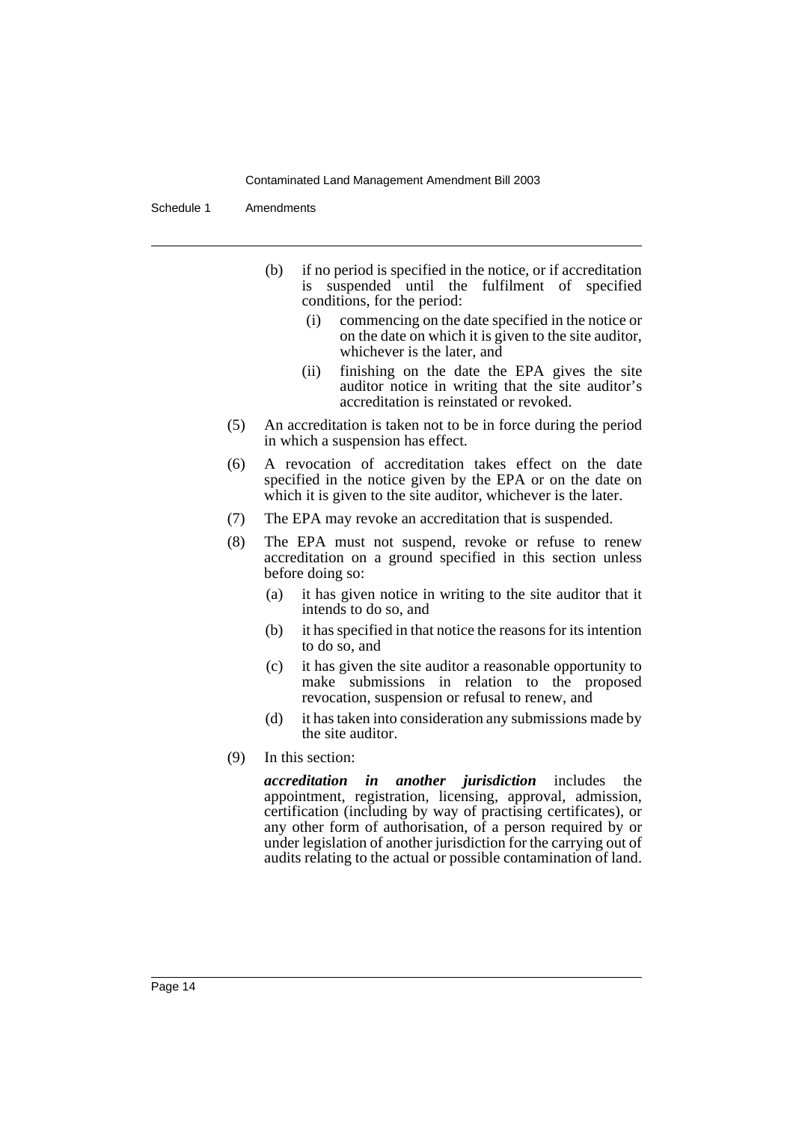Schedule 1 Amendments

- (b) if no period is specified in the notice, or if accreditation is suspended until the fulfilment of specified conditions, for the period:
	- (i) commencing on the date specified in the notice or on the date on which it is given to the site auditor, whichever is the later, and
	- (ii) finishing on the date the EPA gives the site auditor notice in writing that the site auditor's accreditation is reinstated or revoked.
- (5) An accreditation is taken not to be in force during the period in which a suspension has effect.
- (6) A revocation of accreditation takes effect on the date specified in the notice given by the EPA or on the date on which it is given to the site auditor, whichever is the later.
- (7) The EPA may revoke an accreditation that is suspended.
- (8) The EPA must not suspend, revoke or refuse to renew accreditation on a ground specified in this section unless before doing so:
	- (a) it has given notice in writing to the site auditor that it intends to do so, and
	- (b) it has specified in that notice the reasons for its intention to do so, and
	- (c) it has given the site auditor a reasonable opportunity to make submissions in relation to the proposed revocation, suspension or refusal to renew, and
	- (d) it has taken into consideration any submissions made by the site auditor.
- (9) In this section:

*accreditation in another jurisdiction* includes the appointment, registration, licensing, approval, admission, certification (including by way of practising certificates), or any other form of authorisation, of a person required by or under legislation of another jurisdiction for the carrying out of audits relating to the actual or possible contamination of land.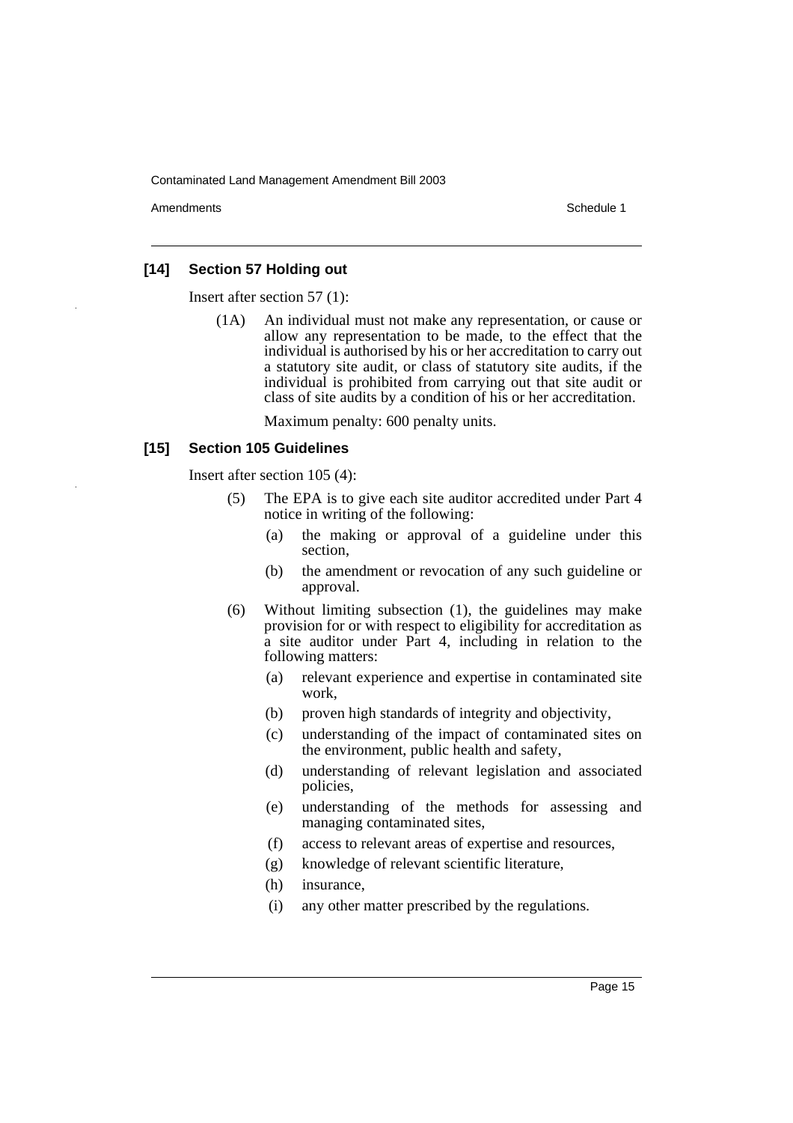Amendments **Amendments** Schedule 1

## **[14] Section 57 Holding out**

Insert after section 57 (1):

(1A) An individual must not make any representation, or cause or allow any representation to be made, to the effect that the individual is authorised by his or her accreditation to carry out a statutory site audit, or class of statutory site audits, if the individual is prohibited from carrying out that site audit or class of site audits by a condition of his or her accreditation.

Maximum penalty: 600 penalty units.

## **[15] Section 105 Guidelines**

Insert after section 105 (4):

- (5) The EPA is to give each site auditor accredited under Part 4 notice in writing of the following:
	- (a) the making or approval of a guideline under this section,
	- (b) the amendment or revocation of any such guideline or approval.
- (6) Without limiting subsection (1), the guidelines may make provision for or with respect to eligibility for accreditation as a site auditor under Part 4, including in relation to the following matters:
	- (a) relevant experience and expertise in contaminated site work,
	- (b) proven high standards of integrity and objectivity,
	- (c) understanding of the impact of contaminated sites on the environment, public health and safety,
	- (d) understanding of relevant legislation and associated policies,
	- (e) understanding of the methods for assessing and managing contaminated sites,
	- (f) access to relevant areas of expertise and resources,
	- (g) knowledge of relevant scientific literature,
	- (h) insurance,
	- (i) any other matter prescribed by the regulations.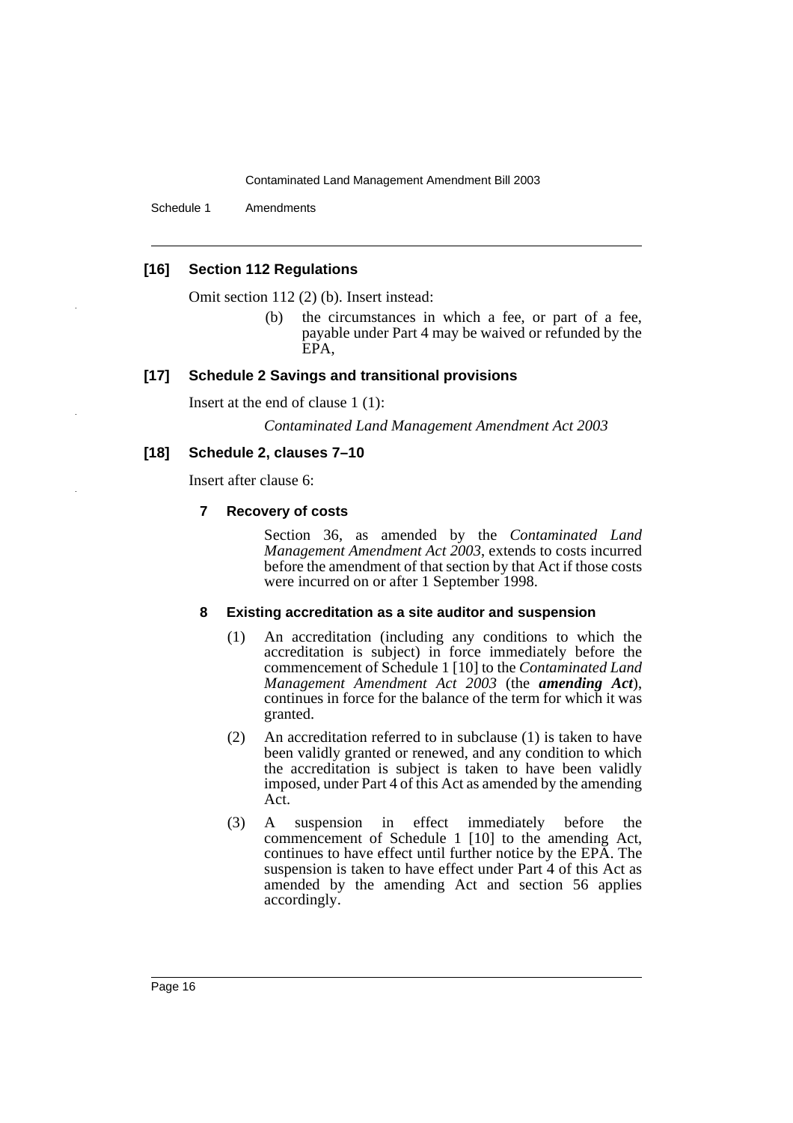Schedule 1 Amendments

## **[16] Section 112 Regulations**

Omit section 112 (2) (b). Insert instead:

(b) the circumstances in which a fee, or part of a fee, payable under Part 4 may be waived or refunded by the EPA,

## **[17] Schedule 2 Savings and transitional provisions**

Insert at the end of clause 1 (1):

*Contaminated Land Management Amendment Act 2003*

## **[18] Schedule 2, clauses 7–10**

Insert after clause 6:

## **7 Recovery of costs**

Section 36, as amended by the *Contaminated Land Management Amendment Act 2003*, extends to costs incurred before the amendment of that section by that Act if those costs were incurred on or after 1 September 1998.

## **8 Existing accreditation as a site auditor and suspension**

- (1) An accreditation (including any conditions to which the accreditation is subject) in force immediately before the commencement of Schedule 1 [10] to the *Contaminated Land Management Amendment Act 2003* (the *amending Act*), continues in force for the balance of the term for which it was granted.
- (2) An accreditation referred to in subclause (1) is taken to have been validly granted or renewed, and any condition to which the accreditation is subject is taken to have been validly imposed, under Part 4 of this Act as amended by the amending Act.
- (3) A suspension in effect immediately before the commencement of Schedule 1 [10] to the amending Act, continues to have effect until further notice by the EPA. The suspension is taken to have effect under Part 4 of this Act as amended by the amending Act and section 56 applies accordingly.